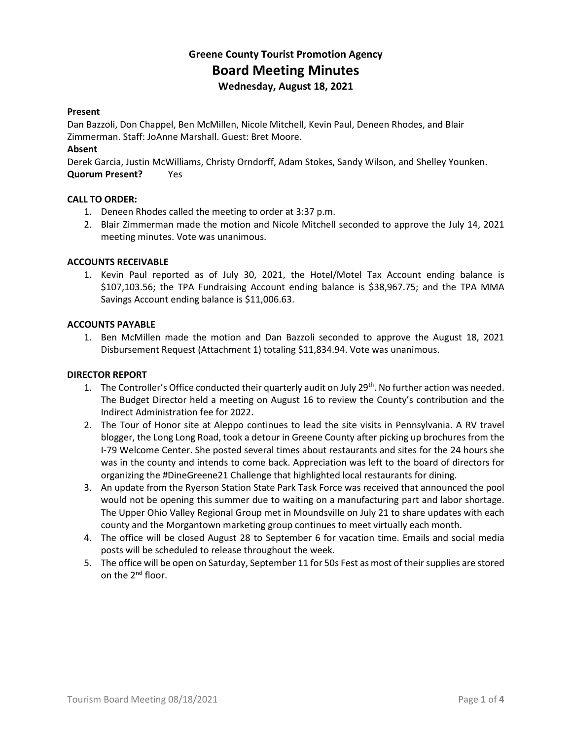# **Greene County Tourist Promotion Agency Board Meeting Minutes Wednesday, August 18, 2021**

# **Present**

Dan Bazzoli, Don Chappel, Ben McMillen, Nicole Mitchell, Kevin Paul, Deneen Rhodes, and Blair Zimmerman. Staff: JoAnne Marshall. Guest: Bret Moore.

# **Absent**

Derek Garcia, Justin McWilliams, Christy Orndorff, Adam Stokes, Sandy Wilson, and Shelley Younken. **Quorum Present?** Yes

# **CALL TO ORDER:**

- 1. Deneen Rhodes called the meeting to order at 3:37 p.m.
- 2. Blair Zimmerman made the motion and Nicole Mitchell seconded to approve the July 14, 2021 meeting minutes. Vote was unanimous.

# **ACCOUNTS RECEIVABLE**

1. Kevin Paul reported as of July 30, 2021, the Hotel/Motel Tax Account ending balance is \$107,103.56; the TPA Fundraising Account ending balance is \$38,967.75; and the TPA MMA Savings Account ending balance is \$11,006.63.

# **ACCOUNTS PAYABLE**

1. Ben McMillen made the motion and Dan Bazzoli seconded to approve the August 18, 2021 Disbursement Request (Attachment 1) totaling \$11,834.94. Vote was unanimous.

#### **DIRECTOR REPORT**

- 1. The Controller's Office conducted their quarterly audit on July  $29^{th}$ . No further action was needed. The Budget Director held a meeting on August 16 to review the County's contribution and the Indirect Administration fee for 2022.
- 2. The Tour of Honor site at Aleppo continues to lead the site visits in Pennsylvania. A RV travel blogger, the Long Long Road, took a detour in Greene County after picking up brochures from the I-79 Welcome Center. She posted several times about restaurants and sites for the 24 hours she was in the county and intends to come back. Appreciation was left to the board of directors for organizing the #DineGreene21 Challenge that highlighted local restaurants for dining.
- 3. An update from the Ryerson Station State Park Task Force was received that announced the pool would not be opening this summer due to waiting on a manufacturing part and labor shortage. The Upper Ohio Valley Regional Group met in Moundsville on July 21 to share updates with each county and the Morgantown marketing group continues to meet virtually each month.
- 4. The office will be closed August 28 to September 6 for vacation time. Emails and social media posts will be scheduled to release throughout the week.
- 5. The office will be open on Saturday, September 11 for 50s Fest as most of their supplies are stored on the 2<sup>nd</sup> floor.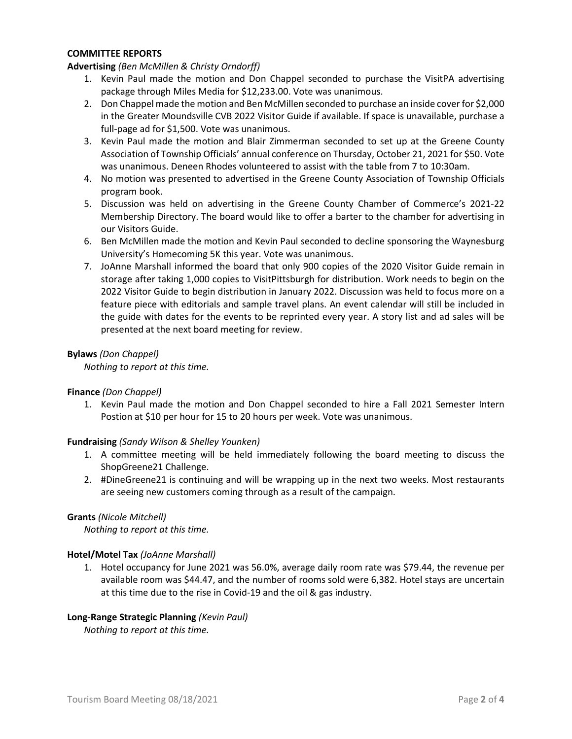# **COMMITTEE REPORTS**

# **Advertising** *(Ben McMillen & Christy Orndorff)*

- 1. Kevin Paul made the motion and Don Chappel seconded to purchase the VisitPA advertising package through Miles Media for \$12,233.00. Vote was unanimous.
- 2. Don Chappel made the motion and Ben McMillen seconded to purchase an inside cover for \$2,000 in the Greater Moundsville CVB 2022 Visitor Guide if available. If space is unavailable, purchase a full-page ad for \$1,500. Vote was unanimous.
- 3. Kevin Paul made the motion and Blair Zimmerman seconded to set up at the Greene County Association of Township Officials' annual conference on Thursday, October 21, 2021 for \$50. Vote was unanimous. Deneen Rhodes volunteered to assist with the table from 7 to 10:30am.
- 4. No motion was presented to advertised in the Greene County Association of Township Officials program book.
- 5. Discussion was held on advertising in the Greene County Chamber of Commerce's 2021-22 Membership Directory. The board would like to offer a barter to the chamber for advertising in our Visitors Guide.
- 6. Ben McMillen made the motion and Kevin Paul seconded to decline sponsoring the Waynesburg University's Homecoming 5K this year. Vote was unanimous.
- 7. JoAnne Marshall informed the board that only 900 copies of the 2020 Visitor Guide remain in storage after taking 1,000 copies to VisitPittsburgh for distribution. Work needs to begin on the 2022 Visitor Guide to begin distribution in January 2022. Discussion was held to focus more on a feature piece with editorials and sample travel plans. An event calendar will still be included in the guide with dates for the events to be reprinted every year. A story list and ad sales will be presented at the next board meeting for review.

# **Bylaws** *(Don Chappel)*

*Nothing to report at this time.*

#### **Finance** *(Don Chappel)*

1. Kevin Paul made the motion and Don Chappel seconded to hire a Fall 2021 Semester Intern Postion at \$10 per hour for 15 to 20 hours per week. Vote was unanimous.

#### **Fundraising** *(Sandy Wilson & Shelley Younken)*

- 1. A committee meeting will be held immediately following the board meeting to discuss the ShopGreene21 Challenge.
- 2. #DineGreene21 is continuing and will be wrapping up in the next two weeks. Most restaurants are seeing new customers coming through as a result of the campaign.

#### **Grants** *(Nicole Mitchell)*

*Nothing to report at this time.*

#### **Hotel/Motel Tax** *(JoAnne Marshall)*

1. Hotel occupancy for June 2021 was 56.0%, average daily room rate was \$79.44, the revenue per available room was \$44.47, and the number of rooms sold were 6,382. Hotel stays are uncertain at this time due to the rise in Covid-19 and the oil & gas industry.

#### **Long-Range Strategic Planning** *(Kevin Paul)*

*Nothing to report at this time.*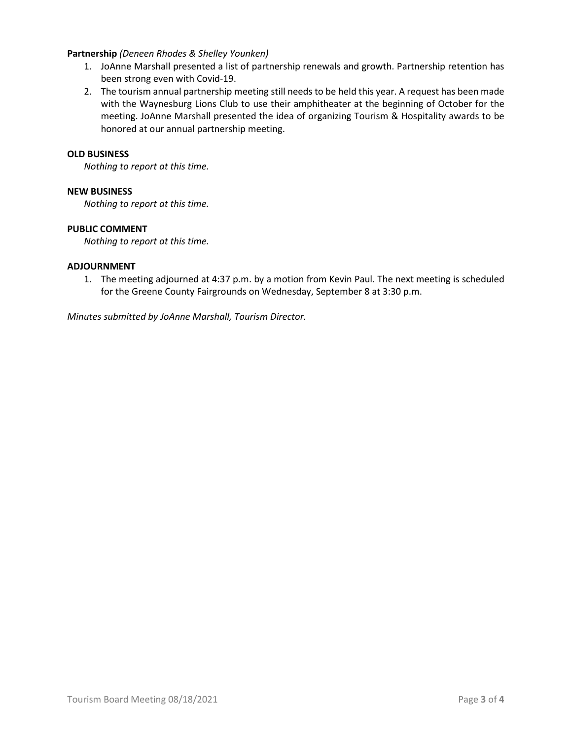# **Partnership** *(Deneen Rhodes & Shelley Younken)*

- 1. JoAnne Marshall presented a list of partnership renewals and growth. Partnership retention has been strong even with Covid-19.
- 2. The tourism annual partnership meeting still needs to be held this year. A request has been made with the Waynesburg Lions Club to use their amphitheater at the beginning of October for the meeting. JoAnne Marshall presented the idea of organizing Tourism & Hospitality awards to be honored at our annual partnership meeting.

#### **OLD BUSINESS**

*Nothing to report at this time.*

# **NEW BUSINESS**

*Nothing to report at this time.*

# **PUBLIC COMMENT**

*Nothing to report at this time.*

# **ADJOURNMENT**

1. The meeting adjourned at 4:37 p.m. by a motion from Kevin Paul. The next meeting is scheduled for the Greene County Fairgrounds on Wednesday, September 8 at 3:30 p.m.

*Minutes submitted by JoAnne Marshall, Tourism Director.*